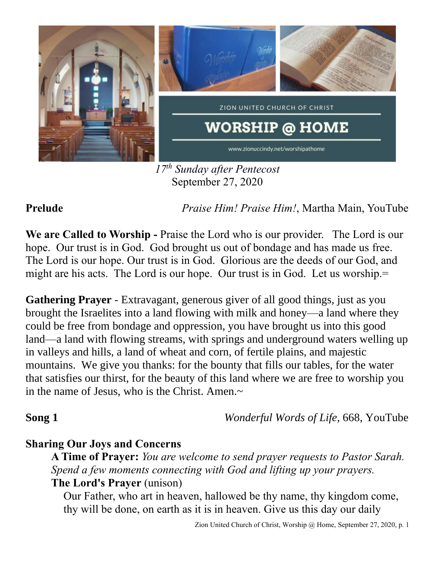

*17 th Sunday after Pentecost* September 27, 2020

**Prelude** *Praise Him! Praise Him!*, Martha Main, YouTube

**We are Called to Worship -** Praise the Lord who is our provider. The Lord is our hope. Our trust is in God. God brought us out of bondage and has made us free. The Lord is our hope. Our trust is in God. Glorious are the deeds of our God, and might are his acts. The Lord is our hope. Our trust is in God. Let us worship.

**Gathering Prayer** - Extravagant, generous giver of all good things, just as you brought the Israelites into a land flowing with milk and honey—a land where they could be free from bondage and oppression, you have brought us into this good land—a land with flowing streams, with springs and underground waters welling up in valleys and hills, a land of wheat and corn, of fertile plains, and majestic mountains. We give you thanks: for the bounty that fills our tables, for the water that satisfies our thirst, for the beauty of this land where we are free to worship you in the name of Jesus, who is the Christ. Amen. $\sim$ 

**Song 1** *Wonderful Words of Life,* 668, YouTube

## **Sharing Our Joys and Concerns**

**A Time of Prayer:** *You are welcome to send prayer requests to Pastor Sarah. Spend a few moments connecting with God and lifting up your prayers.*

### **The Lord's Prayer** (unison)

Our Father, who art in heaven, hallowed be thy name, thy kingdom come, thy will be done, on earth as it is in heaven. Give us this day our daily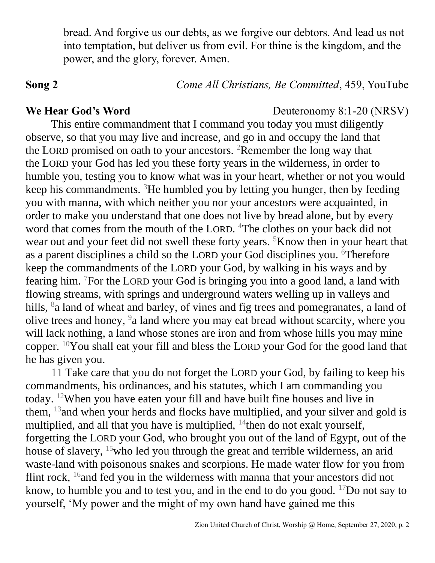bread. And forgive us our debts, as we forgive our debtors. And lead us not into temptation, but deliver us from evil. For thine is the kingdom, and the power, and the glory, forever. Amen.

**Song 2** *Come All Christians, Be Committed*, 459, YouTube

### **We Hear God's Word** Deuteronomy 8:1-20 (NRSV)

This entire commandment that I command you today you must diligently observe, so that you may live and increase, and go in and occupy the land that the LORD promised on oath to your ancestors. <sup>2</sup>Remember the long way that the LORD your God has led you these forty years in the wilderness, in order to humble you, testing you to know what was in your heart, whether or not you would keep his commandments. <sup>3</sup>He humbled you by letting you hunger, then by feeding you with manna, with which neither you nor your ancestors were acquainted, in order to make you understand that one does not live by bread alone, but by every word that comes from the mouth of the LORD. <sup>4</sup>The clothes on your back did not wear out and your feet did not swell these forty years. <sup>5</sup>Know then in your heart that as a parent disciplines a child so the LORD your God disciplines you. <sup>6</sup>Therefore keep the commandments of the LORD your God, by walking in his ways and by fearing him. <sup>7</sup>For the LORD your God is bringing you into a good land, a land with flowing streams, with springs and underground waters welling up in valleys and hills, <sup>8</sup> a land of wheat and barley, of vines and fig trees and pomegranates, a land of olive trees and honey, <sup>9</sup> a land where you may eat bread without scarcity, where you will lack nothing, a land whose stones are iron and from whose hills you may mine copper. <sup>10</sup>You shall eat your fill and bless the LORD your God for the good land that he has given you.

11 Take care that you do not forget the LORD your God, by failing to keep his commandments, his ordinances, and his statutes, which I am commanding you today. <sup>12</sup>When you have eaten your fill and have built fine houses and live in them, <sup>13</sup> and when your herds and flocks have multiplied, and your silver and gold is multiplied, and all that you have is multiplied,  $14$  then do not exalt yourself, forgetting the LORD your God, who brought you out of the land of Egypt, out of the house of slavery, <sup>15</sup>who led you through the great and terrible wilderness, an arid waste-land with poisonous snakes and scorpions. He made water flow for you from flint rock, <sup>16</sup>and fed you in the wilderness with manna that your ancestors did not know, to humble you and to test you, and in the end to do you good.  $17$ Do not say to yourself, 'My power and the might of my own hand have gained me this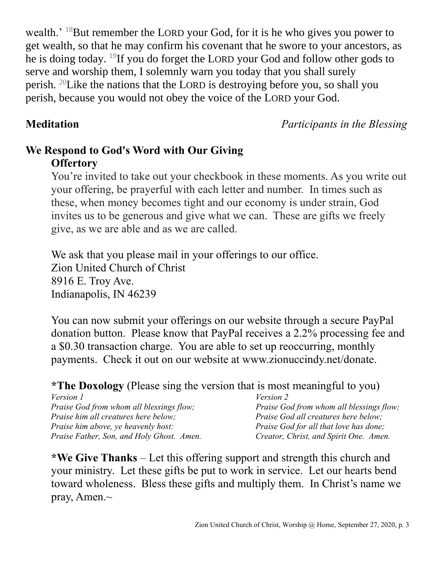wealth.' <sup>18</sup>But remember the LORD your God, for it is he who gives you power to get wealth, so that he may confirm his covenant that he swore to your ancestors, as he is doing today. <sup>19</sup>If you do forget the LORD your God and follow other gods to serve and worship them, I solemnly warn you today that you shall surely perish. <sup>20</sup>Like the nations that the LORD is destroying before you, so shall you perish, because you would not obey the voice of the LORD your God.

**Meditation** *Participants in the Blessing*

# **We Respond to God's Word with Our Giving Offertory**

You're invited to take out your checkbook in these moments. As you write out your offering, be prayerful with each letter and number. In times such as these, when money becomes tight and our economy is under strain, God invites us to be generous and give what we can. These are gifts we freely give, as we are able and as we are called.

We ask that you please mail in your offerings to our office. Zion United Church of Christ 8916 E. Troy Ave. Indianapolis, IN 46239

You can now submit your offerings on our website through a secure PayPal donation button. Please know that PayPal receives a 2.2% processing fee and a \$0.30 transaction charge. You are able to set up reoccurring, monthly payments. Check it out on our website at www.zionuccindy.net/donate.

## **\*The Doxology** (Please sing the version that is most meaningful to you)

| <i>Version 1</i>                                | <i>Version 2</i>                                |
|-------------------------------------------------|-------------------------------------------------|
| <i>Praise God from whom all blessings flow;</i> | <i>Praise God from whom all blessings flow;</i> |
| Praise him all creatures here below;            | Praise God all creatures here below;            |
| <i>Praise him above, ye heavenly host:</i>      | Praise God for all that love has done;          |
| Praise Father, Son, and Holy Ghost. Amen.       | Creator, Christ, and Spirit One. Amen.          |

**\*We Give Thanks** – Let this offering support and strength this church and your ministry. Let these gifts be put to work in service. Let our hearts bend toward wholeness. Bless these gifts and multiply them. In Christ's name we pray, Amen.~